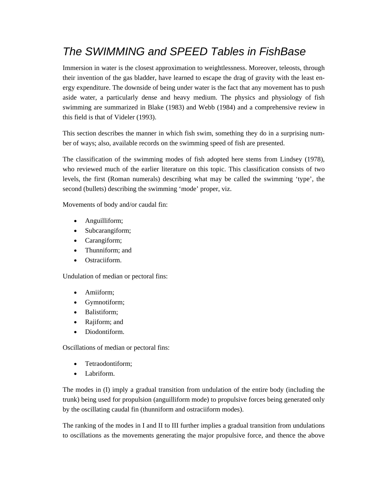# *The SWIMMING and SPEED Tables in FishBase*

Immersion in water is the closest approximation to weightlessness. Moreover, teleosts, through their invention of the gas bladder, have learned to escape the drag of gravity with the least energy expenditure. The downside of being under water is the fact that any movement has to push aside water, a particularly dense and heavy medium. The physics and physiology of fish swimming are summarized in Blake (1983) and Webb (1984) and a comprehensive review in this field is that of Videler (1993).

This section describes the manner in which fish swim, something they do in a surprising number of ways; also, available records on the swimming speed of fish are presented.

The classification of the swimming modes of fish adopted here stems from Lindsey (1978), who reviewed much of the earlier literature on this topic. This classification consists of two levels, the first (Roman numerals) describing what may be called the swimming 'type', the second (bullets) describing the swimming 'mode' proper, viz.

Movements of body and/or caudal fin:

- Anguilliform;
- Subcarangiform;
- Carangiform;
- Thunniform; and
- Ostraciiform.

Undulation of median or pectoral fins:

- Amiiform;
- Gymnotiform;
- Balistiform;
- Rajiform; and
- Diodontiform.

Oscillations of median or pectoral fins:

- Tetraodontiform:
- Labriform.

The modes in (I) imply a gradual transition from undulation of the entire body (including the trunk) being used for propulsion (anguilliform mode) to propulsive forces being generated only by the oscillating caudal fin (thunniform and ostraciiform modes).

The ranking of the modes in I and II to III further implies a gradual transition from undulations to oscillations as the movements generating the major propulsive force, and thence the above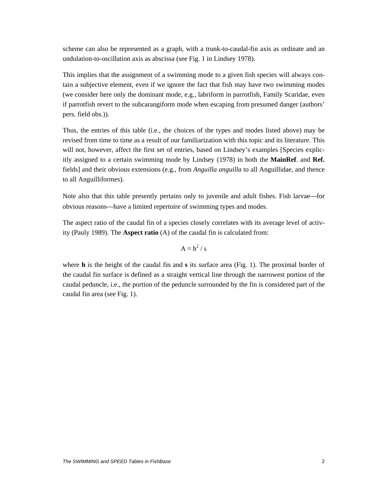scheme can also be represented as a graph, with a trunk-to-caudal-fin axis as ordinate and an undulation-to-oscillation axis as abscissa (see Fig. 1 in Lindsey 1978).

This implies that the assignment of a swimming mode to a given fish species will always contain a subjective element, even if we ignore the fact that fish may have two swimming modes (we consider here only the dominant mode, e.g., labriform in parrotfish, Family Scaridae, even if parrotfish revert to the subcarangiform mode when escaping from presumed danger (authors' pers. field obs.)).

Thus, the entries of this table (i.e., the choices of the types and modes listed above) may be revised from time to time as a result of our familiarization with this topic and its literature. This will not, however, affect the first set of entries, based on Lindsey's examples [Species explicitly assigned to a certain swimming mode by Lindsey (1978) in both the **MainRef**. and **Ref.** fields] and their obvious extensions (e.g., from *Anguilla anguilla* to all Anguillidae, and thence to all Anguilliformes).

Note also that this table presently pertains only to juvenile and adult fishes. Fish larvae–for obvious reasons—have a limited repertoire of swimming types and modes.

The aspect ratio of the caudal fin of a species closely correlates with its average level of activity (Pauly 1989). The **Aspect ratio** (A) of the caudal fin is calculated from:

$$
A = h^2 / s
$$

where **h** is the height of the caudal fin and **s** its surface area (Fig. 1). The proximal border of the caudal fin surface is defined as a straight vertical line through the narrowest portion of the caudal peduncle, i.e., the portion of the peduncle surrounded by the fin is considered part of the caudal fin area (see Fig. 1).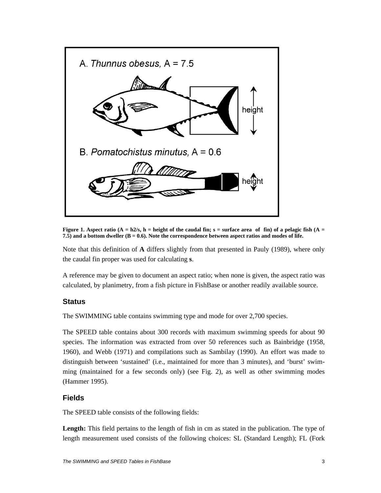

**Figure 1.** Aspect ratio  $(A = h2/s, h =$  height of the caudal fin;  $s =$  surface area of fin) of a pelagic fish  $(A = h2/s, h =$ **7.5) and a bottom dweller (B = 0.6). Note the correspondence between aspect ratios and modes of life.** 

Note that this definition of **A** differs slightly from that presented in Pauly (1989), where only the caudal fin proper was used for calculating **s**.

A reference may be given to document an aspect ratio; when none is given, the aspect ratio was calculated, by planimetry, from a fish picture in FishBase or another readily available source.

## **Status**

The SWIMMING table contains swimming type and mode for over 2,700 species.

The SPEED table contains about 300 records with maximum swimming speeds for about 90 species. The information was extracted from over 50 references such as Bainbridge (1958, 1960), and Webb (1971) and compilations such as Sambilay (1990). An effort was made to distinguish between 'sustained' (i.e., maintained for more than 3 minutes), and 'burst' swimming (maintained for a few seconds only) (see Fig. 2), as well as other swimming modes (Hammer 1995).

## **Fields**

The SPEED table consists of the following fields:

Length: This field pertains to the length of fish in cm as stated in the publication. The type of length measurement used consists of the following choices: SL (Standard Length); FL (Fork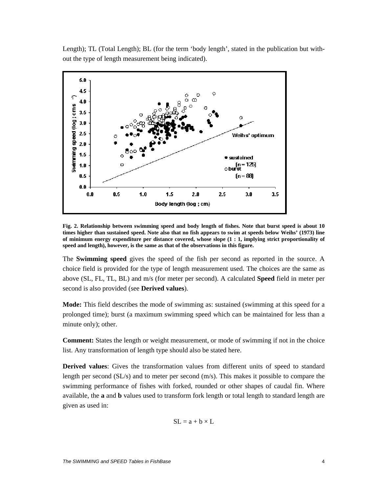Length); TL (Total Length); BL (for the term 'body length', stated in the publication but without the type of length measurement being indicated).



**Fig. 2. Relationship between swimming speed and body length of fishes. Note that burst speed is about 10 times higher than sustained speed. Note also that no fish appears to swim at speeds below Weihs' (1973) line of minimum energy expenditure per distance covered, whose slope (1 : 1, implying strict proportionality of speed and length), however, is the same as that of the observations in this figure.** 

The **Swimming speed** gives the speed of the fish per second as reported in the source. A choice field is provided for the type of length measurement used. The choices are the same as above (SL, FL, TL, BL) and m/s (for meter per second). A calculated **Speed** field in meter per second is also provided (see **Derived values**).

**Mode:** This field describes the mode of swimming as: sustained (swimming at this speed for a prolonged time); burst (a maximum swimming speed which can be maintained for less than a minute only); other.

**Comment:** States the length or weight measurement, or mode of swimming if not in the choice list. Any transformation of length type should also be stated here.

**Derived values**: Gives the transformation values from different units of speed to standard length per second (SL/s) and to meter per second (m/s). This makes it possible to compare the swimming performance of fishes with forked, rounded or other shapes of caudal fin. Where available, the **a** and **b** values used to transform fork length or total length to standard length are given as used in:

$$
SL = a + b \times L
$$